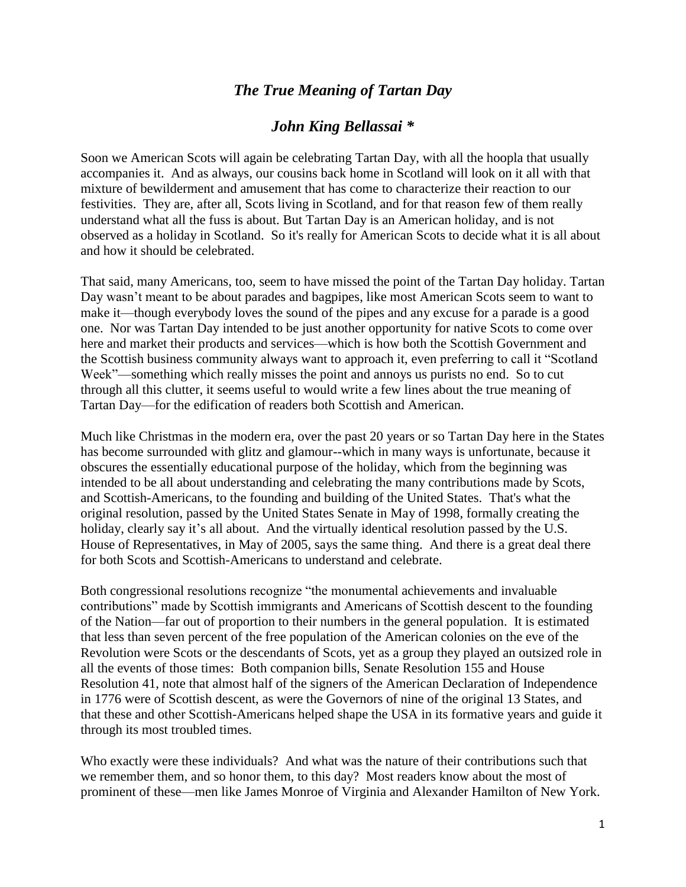## *The True Meaning of Tartan Day*

## *John King Bellassai \**

Soon we American Scots will again be celebrating Tartan Day, with all the hoopla that usually accompanies it. And as always, our cousins back home in Scotland will look on it all with that mixture of bewilderment and amusement that has come to characterize their reaction to our festivities. They are, after all, Scots living in Scotland, and for that reason few of them really understand what all the fuss is about. But Tartan Day is an American holiday, and is not observed as a holiday in Scotland. So it's really for American Scots to decide what it is all about and how it should be celebrated.

That said, many Americans, too, seem to have missed the point of the Tartan Day holiday. Tartan Day wasn't meant to be about parades and bagpipes, like most American Scots seem to want to make it—though everybody loves the sound of the pipes and any excuse for a parade is a good one. Nor was Tartan Day intended to be just another opportunity for native Scots to come over here and market their products and services—which is how both the Scottish Government and the Scottish business community always want to approach it, even preferring to call it "Scotland Week"—something which really misses the point and annoys us purists no end. So to cut through all this clutter, it seems useful to would write a few lines about the true meaning of Tartan Day—for the edification of readers both Scottish and American.

Much like Christmas in the modern era, over the past 20 years or so Tartan Day here in the States has become surrounded with glitz and glamour--which in many ways is unfortunate, because it obscures the essentially educational purpose of the holiday, which from the beginning was intended to be all about understanding and celebrating the many contributions made by Scots, and Scottish-Americans, to the founding and building of the United States. That's what the original resolution, passed by the United States Senate in May of 1998, formally creating the holiday, clearly say it's all about. And the virtually identical resolution passed by the U.S. House of Representatives, in May of 2005, says the same thing. And there is a great deal there for both Scots and Scottish-Americans to understand and celebrate.

Both congressional resolutions recognize "the monumental achievements and invaluable contributions" made by Scottish immigrants and Americans of Scottish descent to the founding of the Nation—far out of proportion to their numbers in the general population. It is estimated that less than seven percent of the free population of the American colonies on the eve of the Revolution were Scots or the descendants of Scots, yet as a group they played an outsized role in all the events of those times: Both companion bills, Senate Resolution 155 and House Resolution 41, note that almost half of the signers of the American Declaration of Independence in 1776 were of Scottish descent, as were the Governors of nine of the original 13 States, and that these and other Scottish-Americans helped shape the USA in its formative years and guide it through its most troubled times.

Who exactly were these individuals? And what was the nature of their contributions such that we remember them, and so honor them, to this day? Most readers know about the most of prominent of these—men like James Monroe of Virginia and Alexander Hamilton of New York.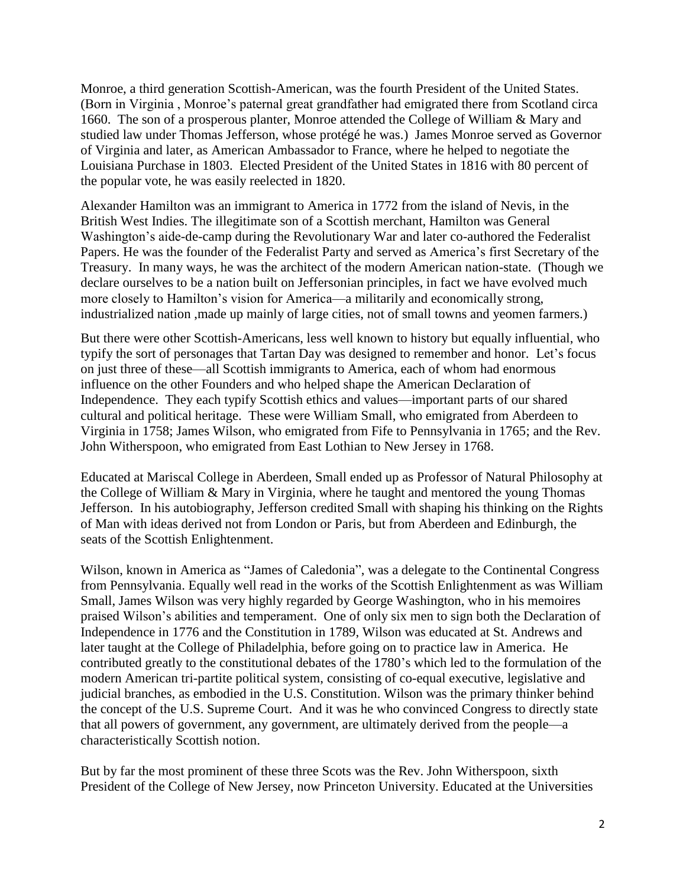Monroe, a third generation Scottish-American, was the fourth President of the United States. (Born in Virginia , Monroe's paternal great grandfather had emigrated there from Scotland circa 1660. The son of a prosperous planter, Monroe attended the College of William & Mary and studied law under Thomas Jefferson, whose protégé he was.) James Monroe served as Governor of Virginia and later, as American Ambassador to France, where he helped to negotiate the Louisiana Purchase in 1803. Elected President of the United States in 1816 with 80 percent of the popular vote, he was easily reelected in 1820.

Alexander Hamilton was an immigrant to America in 1772 from the island of Nevis, in the British West Indies. The illegitimate son of a Scottish merchant, Hamilton was General Washington's aide-de-camp during the Revolutionary War and later co-authored the Federalist Papers. He was the founder of the Federalist Party and served as America's first Secretary of the Treasury. In many ways, he was the architect of the modern American nation-state. (Though we declare ourselves to be a nation built on Jeffersonian principles, in fact we have evolved much more closely to Hamilton's vision for America—a militarily and economically strong, industrialized nation ,made up mainly of large cities, not of small towns and yeomen farmers.)

But there were other Scottish-Americans, less well known to history but equally influential, who typify the sort of personages that Tartan Day was designed to remember and honor. Let's focus on just three of these—all Scottish immigrants to America, each of whom had enormous influence on the other Founders and who helped shape the American Declaration of Independence. They each typify Scottish ethics and values—important parts of our shared cultural and political heritage. These were William Small, who emigrated from Aberdeen to Virginia in 1758; James Wilson, who emigrated from Fife to Pennsylvania in 1765; and the Rev. John Witherspoon, who emigrated from East Lothian to New Jersey in 1768.

Educated at Mariscal College in Aberdeen, Small ended up as Professor of Natural Philosophy at the College of William & Mary in Virginia, where he taught and mentored the young Thomas Jefferson. In his autobiography, Jefferson credited Small with shaping his thinking on the Rights of Man with ideas derived not from London or Paris, but from Aberdeen and Edinburgh, the seats of the Scottish Enlightenment.

Wilson, known in America as "James of Caledonia", was a delegate to the Continental Congress from Pennsylvania. Equally well read in the works of the Scottish Enlightenment as was William Small, James Wilson was very highly regarded by George Washington, who in his memoires praised Wilson's abilities and temperament. One of only six men to sign both the Declaration of Independence in 1776 and the Constitution in 1789, Wilson was educated at St. Andrews and later taught at the College of Philadelphia, before going on to practice law in America. He contributed greatly to the constitutional debates of the 1780's which led to the formulation of the modern American tri-partite political system, consisting of co-equal executive, legislative and judicial branches, as embodied in the U.S. Constitution. Wilson was the primary thinker behind the concept of the U.S. Supreme Court. And it was he who convinced Congress to directly state that all powers of government, any government, are ultimately derived from the people—a characteristically Scottish notion.

But by far the most prominent of these three Scots was the Rev. John Witherspoon, sixth President of the College of New Jersey, now Princeton University. Educated at the Universities